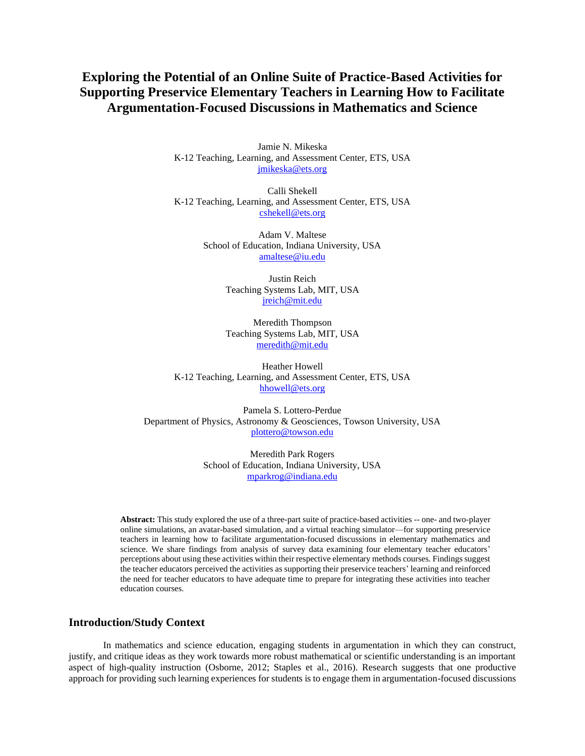# **Exploring the Potential of an Online Suite of Practice-Based Activities for Supporting Preservice Elementary Teachers in Learning How to Facilitate Argumentation-Focused Discussions in Mathematics and Science**

Jamie N. Mikeska K-12 Teaching, Learning, and Assessment Center, ETS, USA [jmikeska@ets.org](mailto:jmikeska@ets.org)

Calli Shekell K-12 Teaching, Learning, and Assessment Center, ETS, USA [cshekell@ets.org](mailto:cshekell@ets.org)

> Adam V. Maltese School of Education, Indiana University, USA [amaltese@iu.edu](mailto:amaltese@iu.edu)

> > Justin Reich Teaching Systems Lab, MIT, USA [jreich@mit.edu](mailto:jreich@mit.edu)

> > Meredith Thompson Teaching Systems Lab, MIT, USA [meredith@mit.edu](mailto:meredith@mit.edu)

Heather Howell K-12 Teaching, Learning, and Assessment Center, ETS, USA [hhowell@ets.org](mailto:hhowell@ets.org)

Pamela S. Lottero-Perdue Department of Physics, Astronomy & Geosciences, Towson University, USA [plottero@towson.edu](mailto:plottero@towson.edu)

> Meredith Park Rogers School of Education, Indiana University, USA [mparkrog@indiana.edu](mailto:mparkrog@indiana.edu)

**Abstract:** This study explored the use of a three-part suite of practice-based activities -- one- and two-player online simulations, an avatar-based simulation, and a virtual teaching simulator—for supporting preservice teachers in learning how to facilitate argumentation-focused discussions in elementary mathematics and science. We share findings from analysis of survey data examining four elementary teacher educators' perceptions about using these activities within their respective elementary methods courses. Findings suggest the teacher educators perceived the activities as supporting their preservice teachers' learning and reinforced the need for teacher educators to have adequate time to prepare for integrating these activities into teacher education courses.

# **Introduction/Study Context**

In mathematics and science education, engaging students in argumentation in which they can construct, justify, and critique ideas as they work towards more robust mathematical or scientific understanding is an important aspect of high-quality instruction (Osborne, 2012; Staples et al., 2016). Research suggests that one productive approach for providing such learning experiences for students is to engage them in argumentation-focused discussions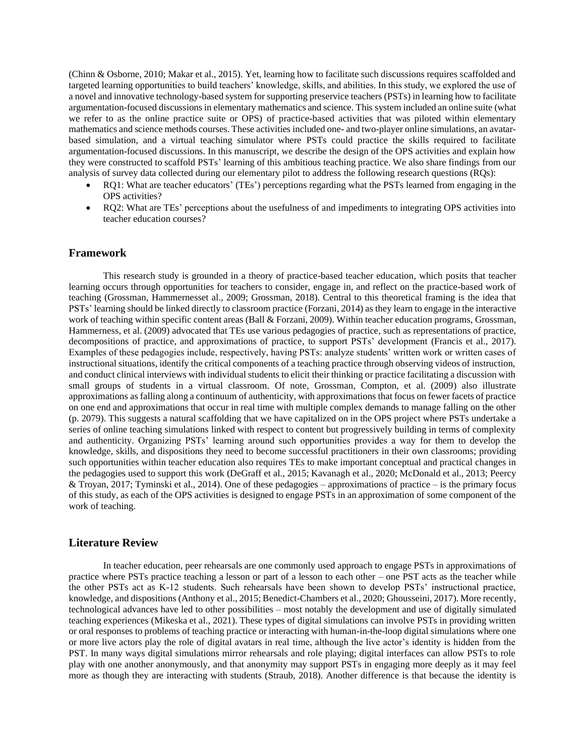(Chinn & Osborne, 2010; Makar et al., 2015). Yet, learning how to facilitate such discussions requires scaffolded and targeted learning opportunities to build teachers' knowledge, skills, and abilities. In this study, we explored the use of a novel and innovative technology-based system for supporting preservice teachers (PSTs) in learning how to facilitate argumentation-focused discussions in elementary mathematics and science. This system included an online suite (what we refer to as the online practice suite or OPS) of practice-based activities that was piloted within elementary mathematics and science methods courses. These activities included one- and two-player online simulations, an avatarbased simulation, and a virtual teaching simulator where PSTs could practice the skills required to facilitate argumentation-focused discussions. In this manuscript, we describe the design of the OPS activities and explain how they were constructed to scaffold PSTs' learning of this ambitious teaching practice. We also share findings from our analysis of survey data collected during our elementary pilot to address the following research questions (RQs):

- RQ1: What are teacher educators' (TEs') perceptions regarding what the PSTs learned from engaging in the OPS activities?
- RQ2: What are TEs' perceptions about the usefulness of and impediments to integrating OPS activities into teacher education courses?

### **Framework**

This research study is grounded in a theory of practice-based teacher education, which posits that teacher learning occurs through opportunities for teachers to consider, engage in, and reflect on the practice-based work of teaching (Grossman, Hammernesset al., 2009; Grossman, 2018). Central to this theoretical framing is the idea that PSTs' learning should be linked directly to classroom practice (Forzani, 2014) as they learn to engage in the interactive work of teaching within specific content areas (Ball & Forzani, 2009). Within teacher education programs, Grossman, Hammerness, et al. (2009) advocated that TEs use various pedagogies of practice, such as representations of practice, decompositions of practice, and approximations of practice, to support PSTs' development (Francis et al., 2017). Examples of these pedagogies include, respectively, having PSTs: analyze students' written work or written cases of instructional situations, identify the critical components of a teaching practice through observing videos of instruction, and conduct clinical interviews with individual students to elicit their thinking or practice facilitating a discussion with small groups of students in a virtual classroom. Of note, Grossman, Compton, et al. (2009) also illustrate approximations as falling along a continuum of authenticity, with approximations that focus on fewer facets of practice on one end and approximations that occur in real time with multiple complex demands to manage falling on the other (p. 2079). This suggests a natural scaffolding that we have capitalized on in the OPS project where PSTs undertake a series of online teaching simulations linked with respect to content but progressively building in terms of complexity and authenticity. Organizing PSTs' learning around such opportunities provides a way for them to develop the knowledge, skills, and dispositions they need to become successful practitioners in their own classrooms; providing such opportunities within teacher education also requires TEs to make important conceptual and practical changes in the pedagogies used to support this work (DeGraff et al., 2015; Kavanagh et al., 2020; McDonald et al., 2013; Peercy & Troyan, 2017; Tyminski et al., 2014). One of these pedagogies – approximations of practice – is the primary focus of this study, as each of the OPS activities is designed to engage PSTs in an approximation of some component of the work of teaching.

# **Literature Review**

In teacher education, peer rehearsals are one commonly used approach to engage PSTs in approximations of practice where PSTs practice teaching a lesson or part of a lesson to each other – one PST acts as the teacher while the other PSTs act as K-12 students. Such rehearsals have been shown to develop PSTs' instructional practice, knowledge, and dispositions (Anthony et al., 2015; Benedict-Chambers et al., 2020; Ghousseini, 2017). More recently, technological advances have led to other possibilities – most notably the development and use of digitally simulated teaching experiences (Mikeska et al., 2021). These types of digital simulations can involve PSTs in providing written or oral responses to problems of teaching practice or interacting with human-in-the-loop digital simulations where one or more live actors play the role of digital avatars in real time, although the live actor's identity is hidden from the PST. In many ways digital simulations mirror rehearsals and role playing; digital interfaces can allow PSTs to role play with one another anonymously, and that anonymity may support PSTs in engaging more deeply as it may feel more as though they are interacting with students (Straub, 2018). Another difference is that because the identity is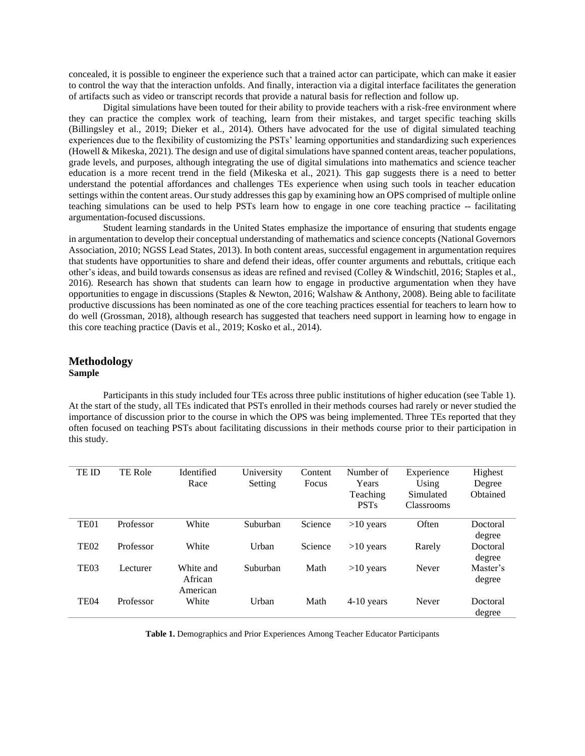concealed, it is possible to engineer the experience such that a trained actor can participate, which can make it easier to control the way that the interaction unfolds. And finally, interaction via a digital interface facilitates the generation of artifacts such as video or transcript records that provide a natural basis for reflection and follow up.

Digital simulations have been touted for their ability to provide teachers with a risk-free environment where they can practice the complex work of teaching, learn from their mistakes, and target specific teaching skills (Billingsley et al., 2019; Dieker et al., 2014). Others have advocated for the use of digital simulated teaching experiences due to the flexibility of customizing the PSTs' learning opportunities and standardizing such experiences (Howell & Mikeska, 2021). The design and use of digital simulations have spanned content areas, teacher populations, grade levels, and purposes, although integrating the use of digital simulations into mathematics and science teacher education is a more recent trend in the field (Mikeska et al., 2021). This gap suggests there is a need to better understand the potential affordances and challenges TEs experience when using such tools in teacher education settings within the content areas. Our study addresses this gap by examining how an OPScomprised of multiple online teaching simulations can be used to help PSTs learn how to engage in one core teaching practice -- facilitating argumentation-focused discussions.

Student learning standards in the United States emphasize the importance of ensuring that students engage in argumentation to develop their conceptual understanding of mathematics and science concepts (National Governors Association, 2010; NGSS Lead States, 2013). In both content areas, successful engagement in argumentation requires that students have opportunities to share and defend their ideas, offer counter arguments and rebuttals, critique each other's ideas, and build towards consensus as ideas are refined and revised (Colley & Windschitl, 2016; Staples et al., 2016). Research has shown that students can learn how to engage in productive argumentation when they have opportunities to engage in discussions (Staples & Newton, 2016; Walshaw & Anthony, 2008). Being able to facilitate productive discussions has been nominated as one of the core teaching practices essential for teachers to learn how to do well (Grossman, 2018), although research has suggested that teachers need support in learning how to engage in this core teaching practice (Davis et al., 2019; Kosko et al., 2014).

# **Methodology Sample**

Participants in this study included four TEs across three public institutions of higher education (see Table 1). At the start of the study, all TEs indicated that PSTs enrolled in their methods courses had rarely or never studied the importance of discussion prior to the course in which the OPS was being implemented. Three TEs reported that they often focused on teaching PSTs about facilitating discussions in their methods course prior to their participation in this study.

| TE ID            | <b>TE Role</b> | Identified<br>Race               | University<br>Setting | Content<br>Focus | Number of<br>Years<br>Teaching<br><b>PSTs</b> | Experience<br>Using<br>Simulated<br><b>Classrooms</b> | Highest<br>Degree<br>Obtained |
|------------------|----------------|----------------------------------|-----------------------|------------------|-----------------------------------------------|-------------------------------------------------------|-------------------------------|
| TE <sub>01</sub> | Professor      | White                            | Suburban              | Science          | $>10$ years                                   | Often                                                 | Doctoral<br>degree            |
| TE <sub>02</sub> | Professor      | White                            | Urban                 | Science          | $>10$ years                                   | Rarely                                                | Doctoral<br>degree            |
| TE <sub>03</sub> | Lecturer       | White and<br>African<br>American | Suburban              | Math             | $>10$ years                                   | Never                                                 | Master's<br>degree            |
| TE <sub>04</sub> | Professor      | White                            | Urban                 | Math             | $4-10$ years                                  | Never                                                 | Doctoral<br>degree            |

**Table 1.** Demographics and Prior Experiences Among Teacher Educator Participants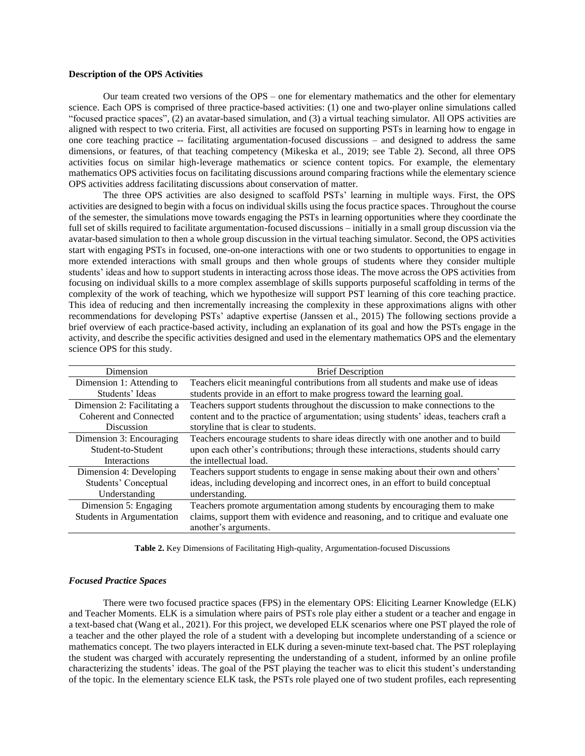### **Description of the OPS Activities**

Our team created two versions of the OPS – one for elementary mathematics and the other for elementary science. Each OPS is comprised of three practice-based activities: (1) one and two-player online simulations called "focused practice spaces", (2) an avatar-based simulation, and (3) a virtual teaching simulator. All OPS activities are aligned with respect to two criteria. First, all activities are focused on supporting PSTs in learning how to engage in one core teaching practice -- facilitating argumentation-focused discussions – and designed to address the same dimensions, or features, of that teaching competency (Mikeska et al., 2019; see Table 2). Second, all three OPS activities focus on similar high-leverage mathematics or science content topics. For example, the elementary mathematics OPS activities focus on facilitating discussions around comparing fractions while the elementary science OPS activities address facilitating discussions about conservation of matter.

The three OPS activities are also designed to scaffold PSTs' learning in multiple ways. First, the OPS activities are designed to begin with a focus on individual skills using the focus practice spaces. Throughout the course of the semester, the simulations move towards engaging the PSTs in learning opportunities where they coordinate the full set of skills required to facilitate argumentation-focused discussions – initially in a small group discussion via the avatar-based simulation to then a whole group discussion in the virtual teaching simulator. Second, the OPS activities start with engaging PSTs in focused, one-on-one interactions with one or two students to opportunities to engage in more extended interactions with small groups and then whole groups of students where they consider multiple students' ideas and how to support students in interacting across those ideas. The move across the OPS activities from focusing on individual skills to a more complex assemblage of skills supports purposeful scaffolding in terms of the complexity of the work of teaching, which we hypothesize will support PST learning of this core teaching practice. This idea of reducing and then incrementally increasing the complexity in these approximations aligns with other recommendations for developing PSTs' adaptive expertise (Janssen et al., 2015) The following sections provide a brief overview of each practice-based activity, including an explanation of its goal and how the PSTs engage in the activity, and describe the specific activities designed and used in the elementary mathematics OPS and the elementary science OPS for this study.

| Dimension                   | <b>Brief Description</b>                                                              |  |  |  |  |
|-----------------------------|---------------------------------------------------------------------------------------|--|--|--|--|
| Dimension 1: Attending to   | Teachers elicit meaningful contributions from all students and make use of ideas      |  |  |  |  |
| Students' Ideas             | students provide in an effort to make progress toward the learning goal.              |  |  |  |  |
| Dimension 2: Facilitating a | Teachers support students throughout the discussion to make connections to the        |  |  |  |  |
| Coherent and Connected      | content and to the practice of argumentation; using students' ideas, teachers craft a |  |  |  |  |
| <b>Discussion</b>           | storyline that is clear to students.                                                  |  |  |  |  |
| Dimension 3: Encouraging    | Teachers encourage students to share ideas directly with one another and to build     |  |  |  |  |
| Student-to-Student          | upon each other's contributions; through these interactions, students should carry    |  |  |  |  |
| <b>Interactions</b>         | the intellectual load.                                                                |  |  |  |  |
| Dimension 4: Developing     | Teachers support students to engage in sense making about their own and others'       |  |  |  |  |
| Students' Conceptual        | ideas, including developing and incorrect ones, in an effort to build conceptual      |  |  |  |  |
| Understanding               | understanding.                                                                        |  |  |  |  |
| Dimension 5: Engaging       | Teachers promote argumentation among students by encouraging them to make             |  |  |  |  |
| Students in Argumentation   | claims, support them with evidence and reasoning, and to critique and evaluate one    |  |  |  |  |
|                             | another's arguments.                                                                  |  |  |  |  |

**Table 2.** Key Dimensions of Facilitating High-quality, Argumentation-focused Discussions

### *Focused Practice Spaces*

There were two focused practice spaces (FPS) in the elementary OPS: Eliciting Learner Knowledge (ELK) and Teacher Moments. ELK is a simulation where pairs of PSTs role play either a student or a teacher and engage in a text-based chat (Wang et al., 2021). For this project, we developed ELK scenarios where one PST played the role of a teacher and the other played the role of a student with a developing but incomplete understanding of a science or mathematics concept. The two players interacted in ELK during a seven-minute text-based chat. The PST roleplaying the student was charged with accurately representing the understanding of a student, informed by an online profile characterizing the students' ideas. The goal of the PST playing the teacher was to elicit this student's understanding of the topic. In the elementary science ELK task, the PSTs role played one of two student profiles, each representing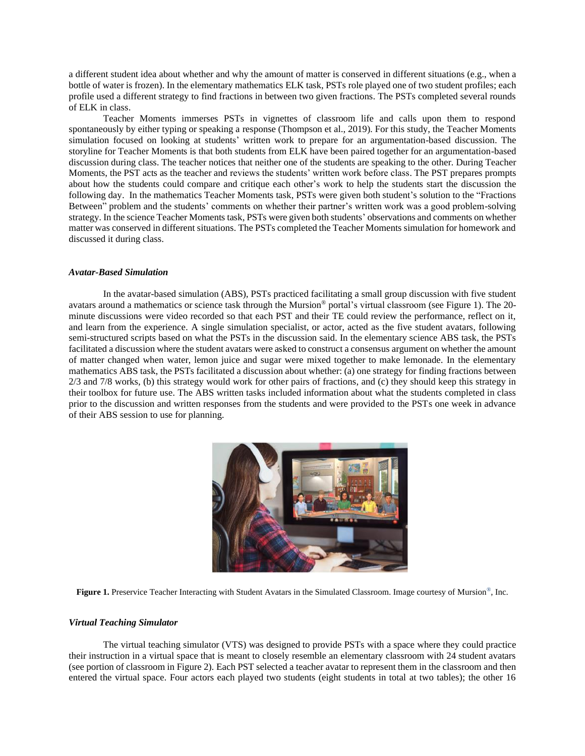a different student idea about whether and why the amount of matter is conserved in different situations (e.g., when a bottle of water is frozen). In the elementary mathematics ELK task, PSTs role played one of two student profiles; each profile used a different strategy to find fractions in between two given fractions. The PSTs completed several rounds of ELK in class.

Teacher Moments immerses PSTs in vignettes of classroom life and calls upon them to respond spontaneously by either typing or speaking a response (Thompson et al., 2019). For this study, the Teacher Moments simulation focused on looking at students' written work to prepare for an argumentation-based discussion. The storyline for Teacher Moments is that both students from ELK have been paired together for an argumentation-based discussion during class. The teacher notices that neither one of the students are speaking to the other. During Teacher Moments, the PST acts as the teacher and reviews the students' written work before class. The PST prepares prompts about how the students could compare and critique each other's work to help the students start the discussion the following day. In the mathematics Teacher Moments task, PSTs were given both student's solution to the "Fractions Between" problem and the students' comments on whether their partner's written work was a good problem-solving strategy. In the science Teacher Moments task, PSTs were given both students' observations and comments on whether matter was conserved in different situations. The PSTs completed the Teacher Moments simulation for homework and discussed it during class.

#### *Avatar-Based Simulation*

In the avatar-based simulation (ABS), PSTs practiced facilitating a small group discussion with five student avatars around a mathematics or science task through the Mursion® portal's virtual classroom (see Figure 1). The 20 minute discussions were video recorded so that each PST and their TE could review the performance, reflect on it, and learn from the experience. A single simulation specialist, or actor, acted as the five student avatars, following semi-structured scripts based on what the PSTs in the discussion said. In the elementary science ABS task, the PSTs facilitated a discussion where the student avatars were asked to construct a consensus argument on whether the amount of matter changed when water, lemon juice and sugar were mixed together to make lemonade. In the elementary mathematics ABS task, the PSTs facilitated a discussion about whether: (a) one strategy for finding fractions between 2/3 and 7/8 works, (b) this strategy would work for other pairs of fractions, and (c) they should keep this strategy in their toolbox for future use. The ABS written tasks included information about what the students completed in class prior to the discussion and written responses from the students and were provided to the PSTs one week in advance of their ABS session to use for planning.





#### *Virtual Teaching Simulator*

The virtual teaching simulator (VTS) was designed to provide PSTs with a space where they could practice their instruction in a virtual space that is meant to closely resemble an elementary classroom with 24 student avatars (see portion of classroom in Figure 2). Each PST selected a teacher avatar to represent them in the classroom and then entered the virtual space. Four actors each played two students (eight students in total at two tables); the other 16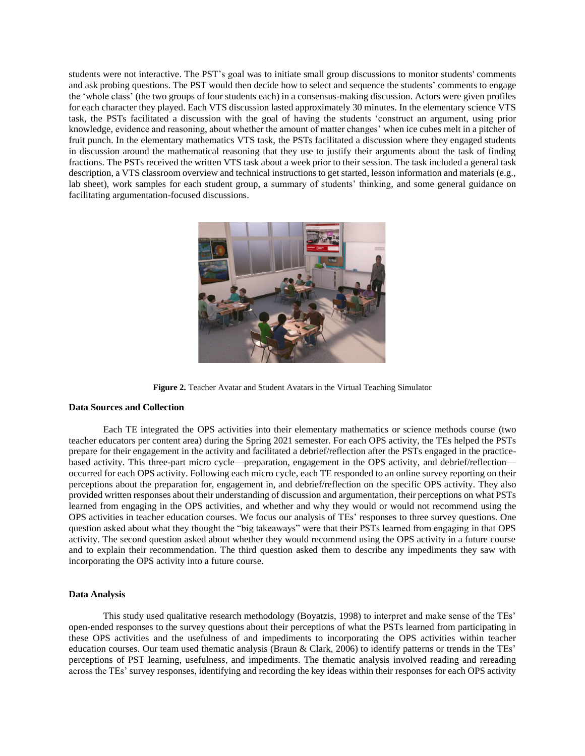students were not interactive. The PST's goal was to initiate small group discussions to monitor students' comments and ask probing questions. The PST would then decide how to select and sequence the students' comments to engage the 'whole class' (the two groups of four students each) in a consensus-making discussion. Actors were given profiles for each character they played. Each VTS discussion lasted approximately 30 minutes. In the elementary science VTS task, the PSTs facilitated a discussion with the goal of having the students 'construct an argument, using prior knowledge, evidence and reasoning, about whether the amount of matter changes' when ice cubes melt in a pitcher of fruit punch. In the elementary mathematics VTS task, the PSTs facilitated a discussion where they engaged students in discussion around the mathematical reasoning that they use to justify their arguments about the task of finding fractions. The PSTs received the written VTS task about a week prior to their session. The task included a general task description, a VTS classroom overview and technical instructions to get started, lesson information and materials (e.g., lab sheet), work samples for each student group, a summary of students' thinking, and some general guidance on facilitating argumentation-focused discussions.



**Figure 2.** Teacher Avatar and Student Avatars in the Virtual Teaching Simulator

#### **Data Sources and Collection**

Each TE integrated the OPS activities into their elementary mathematics or science methods course (two teacher educators per content area) during the Spring 2021 semester. For each OPS activity, the TEs helped the PSTs prepare for their engagement in the activity and facilitated a debrief/reflection after the PSTs engaged in the practicebased activity. This three-part micro cycle—preparation, engagement in the OPS activity, and debrief/reflection occurred for each OPS activity. Following each micro cycle, each TE responded to an online survey reporting on their perceptions about the preparation for, engagement in, and debrief/reflection on the specific OPS activity. They also provided written responses about their understanding of discussion and argumentation, their perceptions on what PSTs learned from engaging in the OPS activities, and whether and why they would or would not recommend using the OPS activities in teacher education courses. We focus our analysis of TEs' responses to three survey questions. One question asked about what they thought the "big takeaways" were that their PSTs learned from engaging in that OPS activity. The second question asked about whether they would recommend using the OPS activity in a future course and to explain their recommendation. The third question asked them to describe any impediments they saw with incorporating the OPS activity into a future course.

### **Data Analysis**

This study used qualitative research methodology (Boyatzis, 1998) to interpret and make sense of the TEs' open-ended responses to the survey questions about their perceptions of what the PSTs learned from participating in these OPS activities and the usefulness of and impediments to incorporating the OPS activities within teacher education courses. Our team used thematic analysis (Braun & Clark, 2006) to identify patterns or trends in the TEs' perceptions of PST learning, usefulness, and impediments. The thematic analysis involved reading and rereading across the TEs' survey responses, identifying and recording the key ideas within their responses for each OPS activity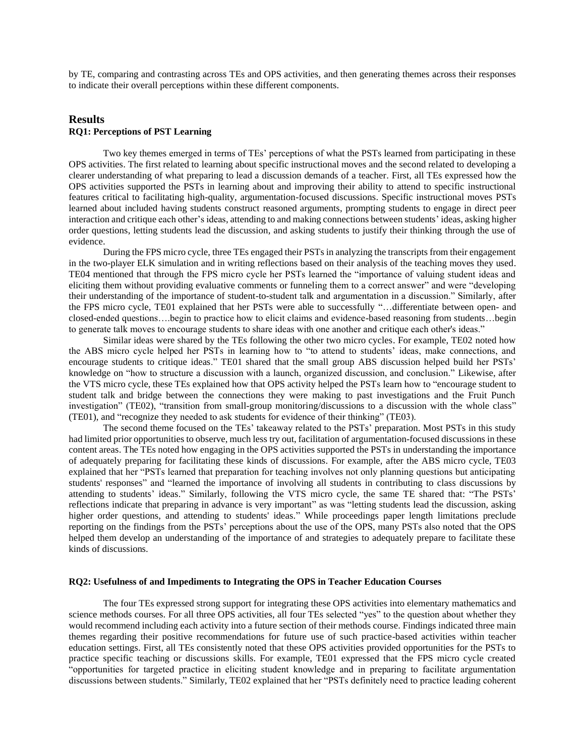by TE, comparing and contrasting across TEs and OPS activities, and then generating themes across their responses to indicate their overall perceptions within these different components.

# **Results RQ1: Perceptions of PST Learning**

Two key themes emerged in terms of TEs' perceptions of what the PSTs learned from participating in these OPS activities. The first related to learning about specific instructional moves and the second related to developing a clearer understanding of what preparing to lead a discussion demands of a teacher. First, all TEs expressed how the OPS activities supported the PSTs in learning about and improving their ability to attend to specific instructional features critical to facilitating high-quality, argumentation-focused discussions. Specific instructional moves PSTs learned about included having students construct reasoned arguments, prompting students to engage in direct peer interaction and critique each other's ideas, attending to and making connections between students' ideas, asking higher order questions, letting students lead the discussion, and asking students to justify their thinking through the use of evidence.

During the FPS micro cycle, three TEs engaged their PSTs in analyzing the transcripts from their engagement in the two-player ELK simulation and in writing reflections based on their analysis of the teaching moves they used. TE04 mentioned that through the FPS micro cycle her PSTs learned the "importance of valuing student ideas and eliciting them without providing evaluative comments or funneling them to a correct answer" and were "developing their understanding of the importance of student-to-student talk and argumentation in a discussion." Similarly, after the FPS micro cycle, TE01 explained that her PSTs were able to successfully "…differentiate between open- and closed-ended questions….begin to practice how to elicit claims and evidence-based reasoning from students…begin to generate talk moves to encourage students to share ideas with one another and critique each other's ideas."

Similar ideas were shared by the TEs following the other two micro cycles. For example, TE02 noted how the ABS micro cycle helped her PSTs in learning how to "to attend to students' ideas, make connections, and encourage students to critique ideas." TE01 shared that the small group ABS discussion helped build her PSTs' knowledge on "how to structure a discussion with a launch, organized discussion, and conclusion." Likewise, after the VTS micro cycle, these TEs explained how that OPS activity helped the PSTs learn how to "encourage student to student talk and bridge between the connections they were making to past investigations and the Fruit Punch investigation" (TE02), "transition from small-group monitoring/discussions to a discussion with the whole class" (TE01), and "recognize they needed to ask students for evidence of their thinking" (TE03).

The second theme focused on the TEs' takeaway related to the PSTs' preparation. Most PSTs in this study had limited prior opportunities to observe, much less try out, facilitation of argumentation-focused discussions in these content areas. The TEs noted how engaging in the OPS activities supported the PSTs in understanding the importance of adequately preparing for facilitating these kinds of discussions. For example, after the ABS micro cycle, TE03 explained that her "PSTs learned that preparation for teaching involves not only planning questions but anticipating students' responses" and "learned the importance of involving all students in contributing to class discussions by attending to students' ideas." Similarly, following the VTS micro cycle, the same TE shared that: "The PSTs' reflections indicate that preparing in advance is very important" as was "letting students lead the discussion, asking higher order questions, and attending to students' ideas." While proceedings paper length limitations preclude reporting on the findings from the PSTs' perceptions about the use of the OPS, many PSTs also noted that the OPS helped them develop an understanding of the importance of and strategies to adequately prepare to facilitate these kinds of discussions.

### **RQ2: Usefulness of and Impediments to Integrating the OPS in Teacher Education Courses**

The four TEs expressed strong support for integrating these OPS activities into elementary mathematics and science methods courses. For all three OPS activities, all four TEs selected "yes" to the question about whether they would recommend including each activity into a future section of their methods course. Findings indicated three main themes regarding their positive recommendations for future use of such practice-based activities within teacher education settings. First, all TEs consistently noted that these OPS activities provided opportunities for the PSTs to practice specific teaching or discussions skills. For example, TE01 expressed that the FPS micro cycle created "opportunities for targeted practice in eliciting student knowledge and in preparing to facilitate argumentation discussions between students." Similarly, TE02 explained that her "PSTs definitely need to practice leading coherent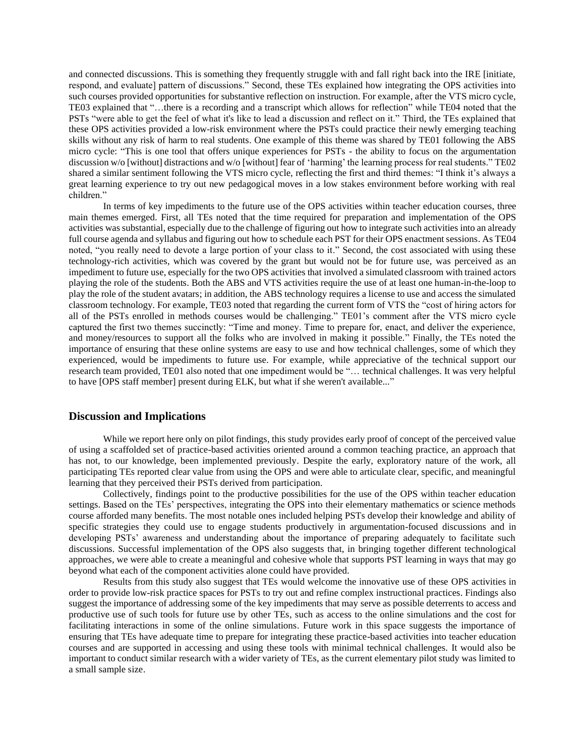and connected discussions. This is something they frequently struggle with and fall right back into the IRE [initiate, respond, and evaluate] pattern of discussions." Second, these TEs explained how integrating the OPS activities into such courses provided opportunities for substantive reflection on instruction. For example, after the VTS micro cycle, TE03 explained that "…there is a recording and a transcript which allows for reflection" while TE04 noted that the PSTs "were able to get the feel of what it's like to lead a discussion and reflect on it." Third, the TEs explained that these OPS activities provided a low-risk environment where the PSTs could practice their newly emerging teaching skills without any risk of harm to real students. One example of this theme was shared by TE01 following the ABS micro cycle: "This is one tool that offers unique experiences for PSTs - the ability to focus on the argumentation discussion w/o [without] distractions and w/o [without] fear of 'harming' the learning process for real students." TE02 shared a similar sentiment following the VTS micro cycle, reflecting the first and third themes: "I think it's always a great learning experience to try out new pedagogical moves in a low stakes environment before working with real children."

In terms of key impediments to the future use of the OPS activities within teacher education courses, three main themes emerged. First, all TEs noted that the time required for preparation and implementation of the OPS activities was substantial, especially due to the challenge of figuring out how to integrate such activities into an already full course agenda and syllabus and figuring out how to schedule each PST for their OPS enactment sessions. As TE04 noted, "you really need to devote a large portion of your class to it." Second, the cost associated with using these technology-rich activities, which was covered by the grant but would not be for future use, was perceived as an impediment to future use, especially for the two OPS activities that involved a simulated classroom with trained actors playing the role of the students. Both the ABS and VTS activities require the use of at least one human-in-the-loop to play the role of the student avatars; in addition, the ABS technology requires a license to use and access the simulated classroom technology. For example, TE03 noted that regarding the current form of VTS the "cost of hiring actors for all of the PSTs enrolled in methods courses would be challenging." TE01's comment after the VTS micro cycle captured the first two themes succinctly: "Time and money. Time to prepare for, enact, and deliver the experience, and money/resources to support all the folks who are involved in making it possible." Finally, the TEs noted the importance of ensuring that these online systems are easy to use and how technical challenges, some of which they experienced, would be impediments to future use. For example, while appreciative of the technical support our research team provided, TE01 also noted that one impediment would be "… technical challenges. It was very helpful to have [OPS staff member] present during ELK, but what if she weren't available..."

# **Discussion and Implications**

While we report here only on pilot findings, this study provides early proof of concept of the perceived value of using a scaffolded set of practice-based activities oriented around a common teaching practice, an approach that has not, to our knowledge, been implemented previously. Despite the early, exploratory nature of the work, all participating TEs reported clear value from using the OPS and were able to articulate clear, specific, and meaningful learning that they perceived their PSTs derived from participation.

Collectively, findings point to the productive possibilities for the use of the OPS within teacher education settings. Based on the TEs' perspectives, integrating the OPS into their elementary mathematics or science methods course afforded many benefits. The most notable ones included helping PSTs develop their knowledge and ability of specific strategies they could use to engage students productively in argumentation-focused discussions and in developing PSTs' awareness and understanding about the importance of preparing adequately to facilitate such discussions. Successful implementation of the OPS also suggests that, in bringing together different technological approaches, we were able to create a meaningful and cohesive whole that supports PST learning in ways that may go beyond what each of the component activities alone could have provided.

Results from this study also suggest that TEs would welcome the innovative use of these OPS activities in order to provide low-risk practice spaces for PSTs to try out and refine complex instructional practices. Findings also suggest the importance of addressing some of the key impediments that may serve as possible deterrents to access and productive use of such tools for future use by other TEs, such as access to the online simulations and the cost for facilitating interactions in some of the online simulations. Future work in this space suggests the importance of ensuring that TEs have adequate time to prepare for integrating these practice-based activities into teacher education courses and are supported in accessing and using these tools with minimal technical challenges. It would also be important to conduct similar research with a wider variety of TEs, as the current elementary pilot study was limited to a small sample size.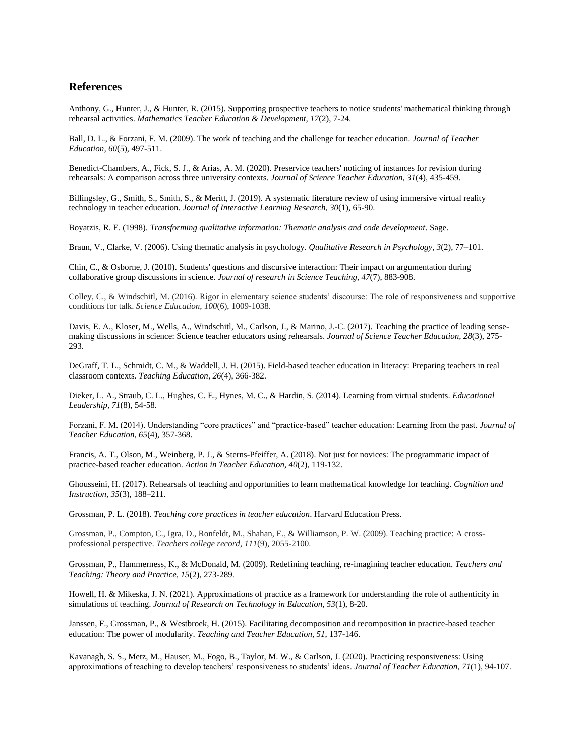# **References**

Anthony, G., Hunter, J., & Hunter, R. (2015). Supporting prospective teachers to notice students' mathematical thinking through rehearsal activities. *Mathematics Teacher Education & Development, 17*(2), 7-24.

Ball, D. L., & Forzani, F. M. (2009). The work of teaching and the challenge for teacher education. *Journal of Teacher Education, 60*(5), 497-511.

Benedict-Chambers, A., Fick, S. J., & Arias, A. M. (2020). Preservice teachers' noticing of instances for revision during rehearsals: A comparison across three university contexts. *Journal of Science Teacher Education, 31*(4), 435-459.

Billingsley, G., Smith, S., Smith, S., & Meritt, J. (2019). A systematic literature review of using immersive virtual reality technology in teacher education. *Journal of Interactive Learning Research, 30*(1), 65-90.

Boyatzis, R. E. (1998). *Transforming qualitative information: Thematic analysis and code development*. Sage.

Braun, V., Clarke, V. (2006). Using thematic analysis in psychology. *Qualitative Research in Psychology, 3*(2), 77–101.

Chin, C., & Osborne, J. (2010). Students' questions and discursive interaction: Their impact on argumentation during collaborative group discussions in science. *Journal of research in Science Teaching*, *47*(7), 883-908.

Colley, C., & Windschitl, M. (2016). Rigor in elementary science students' discourse: The role of responsiveness and supportive conditions for talk. *Science Education, 100*(6), 1009-1038.

Davis, E. A., Kloser, M., Wells, A., Windschitl, M., Carlson, J., & Marino, J.-C. (2017). Teaching the practice of leading sensemaking discussions in science: Science teacher educators using rehearsals. *Journal of Science Teacher Education, 28*(3), 275- 293.

DeGraff, T. L., Schmidt, C. M., & Waddell, J. H. (2015). Field-based teacher education in literacy: Preparing teachers in real classroom contexts. *Teaching Education*, *26*(4), 366-382.

Dieker, L. A., Straub, C. L., Hughes, C. E., Hynes, M. C., & Hardin, S. (2014). Learning from virtual students. *Educational Leadership*, *71*(8), 54-58.

Forzani, F. M. (2014). Understanding "core practices" and "practice-based" teacher education: Learning from the past. *Journal of Teacher Education*, *65*(4), 357-368.

Francis, A. T., Olson, M., Weinberg, P. J., & Sterns-Pfeiffer, A. (2018). Not just for novices: The programmatic impact of practice-based teacher education. *Action in Teacher Education, 40*(2), 119-132.

Ghousseini, H. (2017). Rehearsals of teaching and opportunities to learn mathematical knowledge for teaching. *Cognition and Instruction, 35*(3), 188–211.

Grossman, P. L. (2018). *Teaching core practices in teacher education*. Harvard Education Press.

Grossman, P., Compton, C., Igra, D., Ronfeldt, M., Shahan, E., & Williamson, P. W. (2009). Teaching practice: A crossprofessional perspective. *Teachers college record*, *111*(9), 2055-2100.

Grossman, P., Hammerness, K., & McDonald, M. (2009). Redefining teaching, re-imagining teacher education. *Teachers and Teaching: Theory and Practice, 15*(2), 273-289.

Howell, H. & Mikeska, J. N. (2021). Approximations of practice as a framework for understanding the role of authenticity in simulations of teaching. *Journal of Research on Technology in Education, 53*(1), 8-20.

Janssen, F., Grossman, P., & Westbroek, H. (2015). Facilitating decomposition and recomposition in practice-based teacher education: The power of modularity. *Teaching and Teacher Education*, *51*, 137-146.

Kavanagh, S. S., Metz, M., Hauser, M., Fogo, B., Taylor, M. W., & Carlson, J. (2020). Practicing responsiveness: Using approximations of teaching to develop teachers' responsiveness to students' ideas. *Journal of Teacher Education*, *71*(1), 94-107.